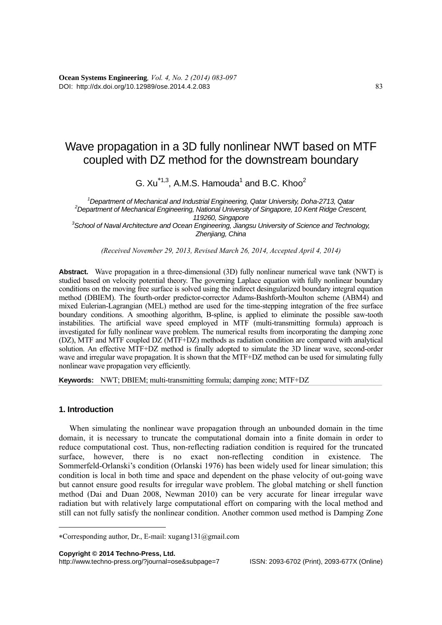## Wave propagation in a 3D fully nonlinear NWT based on MTF coupled with DZ method for the downstream boundary

G.  $Xu^{*1,3}$ , A.M.S. Hamouda<sup>1</sup> and B.C. Khoo<sup>2</sup>

<sup>1</sup> Department of Mechanical and Industrial Engineering, Qatar University, Doha-2713, Qatar <sup>2</sup><br>2 Department of Mechanical Engineering, National University of Singapere, 10 Kent Pidge Crees *Department of Mechanical Engineering, National University of Singapore, 10 Kent Ridge Crescent, 119260, Singapore 3 School of Naval Architecture and Ocean Engineering, Jiangsu University of Science and Technology, Zhenjiang, China* 

*(Received November 29, 2013, Revised March 26, 2014, Accepted April 4, 2014)* 

**Abstract.** Wave propagation in a three-dimensional (3D) fully nonlinear numerical wave tank (NWT) is studied based on velocity potential theory. The governing Laplace equation with fully nonlinear boundary conditions on the moving free surface is solved using the indirect desingularized boundary integral equation method (DBIEM). The fourth-order predictor-corrector Adams-Bashforth-Moulton scheme (ABM4) and mixed Eulerian-Lagrangian (MEL) method are used for the time-stepping integration of the free surface boundary conditions. A smoothing algorithm, B-spline, is applied to eliminate the possible saw-tooth instabilities. The artificial wave speed employed in MTF (multi-transmitting formula) approach is investigated for fully nonlinear wave problem. The numerical results from incorporating the damping zone (DZ), MTF and MTF coupled DZ (MTF+DZ) methods as radiation condition are compared with analytical solution. An effective MTF+DZ method is finally adopted to simulate the 3D linear wave, second-order wave and irregular wave propagation. It is shown that the MTF+DZ method can be used for simulating fully nonlinear wave propagation very efficiently.

**Keywords:** NWT; DBIEM; multi-transmitting formula; damping zone; MTF+DZ

## **1. Introduction**

When simulating the nonlinear wave propagation through an unbounded domain in the time domain, it is necessary to truncate the computational domain into a finite domain in order to reduce computational cost. Thus, non-reflecting radiation condition is required for the truncated surface, however, there is no exact non-reflecting condition in existence. The Sommerfeld-Orlanski's condition (Orlanski 1976) has been widely used for linear simulation; this condition is local in both time and space and dependent on the phase velocity of out-going wave but cannot ensure good results for irregular wave problem. The global matching or shell function method (Dai and Duan 2008, Newman 2010) can be very accurate for linear irregular wave radiation but with relatively large computational effort on comparing with the local method and still can not fully satisfy the nonlinear condition. Another common used method is Damping Zone

**Copyright © 2014 Techno-Press, Ltd.** 

Corresponding author, Dr., E-mail: xugang131@gmail.com